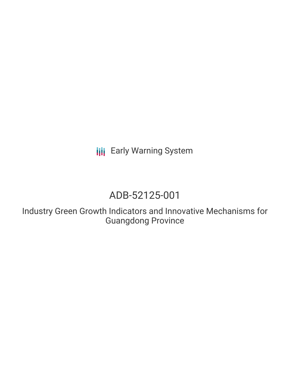**III** Early Warning System

# ADB-52125-001

Industry Green Growth Indicators and Innovative Mechanisms for Guangdong Province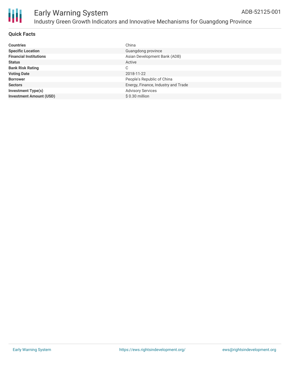

| <b>Countries</b>               | China                               |
|--------------------------------|-------------------------------------|
| <b>Specific Location</b>       | Guangdong province                  |
| <b>Financial Institutions</b>  | Asian Development Bank (ADB)        |
| <b>Status</b>                  | Active                              |
| <b>Bank Risk Rating</b>        | С                                   |
| <b>Voting Date</b>             | 2018-11-22                          |
| <b>Borrower</b>                | People's Republic of China          |
| <b>Sectors</b>                 | Energy, Finance, Industry and Trade |
| <b>Investment Type(s)</b>      | <b>Advisory Services</b>            |
| <b>Investment Amount (USD)</b> | $$0.30$ million                     |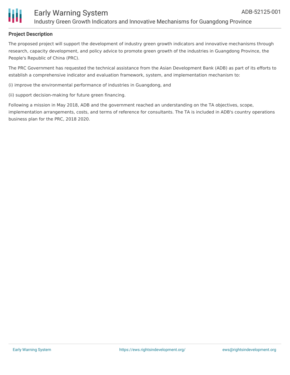

### Early Warning System Industry Green Growth Indicators and Innovative Mechanisms for Guangdong Province

#### **Project Description**

The proposed project will support the development of industry green growth indicators and innovative mechanisms through research, capacity development, and policy advice to promote green growth of the industries in Guangdong Province, the People's Republic of China (PRC).

The PRC Government has requested the technical assistance from the Asian Development Bank (ADB) as part of its efforts to establish a comprehensive indicator and evaluation framework, system, and implementation mechanism to:

(i) improve the environmental performance of industries in Guangdong, and

(ii) support decision-making for future green financing.

Following a mission in May 2018, ADB and the government reached an understanding on the TA objectives, scope, implementation arrangements, costs, and terms of reference for consultants. The TA is included in ADB's country operations business plan for the PRC, 2018 2020.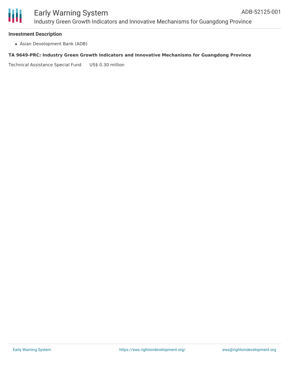

### Early Warning System Industry Green Growth Indicators and Innovative Mechanisms for Guangdong Province

#### **Investment Description**

Asian Development Bank (ADB)

#### **TA 9649-PRC: Industry Green Growth Indicators and Innovative Mechanisms for Guangdong Province**

Technical Assistance Special Fund US\$ 0.30 million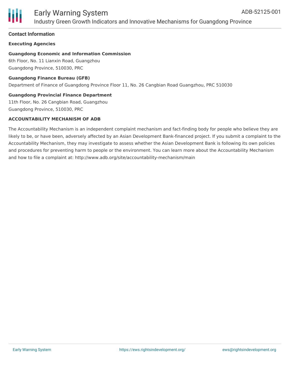

### Early Warning System Industry Green Growth Indicators and Innovative Mechanisms for Guangdong Province

#### **Contact Information**

#### **Executing Agencies**

#### **Guangdong Economic and Information Commission**

6th Floor, No. 11 Lianxin Road, Guangzhou Guangdong Province, 510030, PRC

#### **Guangdong Finance Bureau (GFB)**

Department of Finance of Guangdong Province Floor 11, No. 26 Cangbian Road Guangzhou, PRC 510030

#### **Guangdong Provincial Finance Department**

11th Floor, No. 26 Cangbian Road, Guangzhou Guangdong Province, 510030, PRC

#### **ACCOUNTABILITY MECHANISM OF ADB**

The Accountability Mechanism is an independent complaint mechanism and fact-finding body for people who believe they are likely to be, or have been, adversely affected by an Asian Development Bank-financed project. If you submit a complaint to the Accountability Mechanism, they may investigate to assess whether the Asian Development Bank is following its own policies and procedures for preventing harm to people or the environment. You can learn more about the Accountability Mechanism and how to file a complaint at: http://www.adb.org/site/accountability-mechanism/main